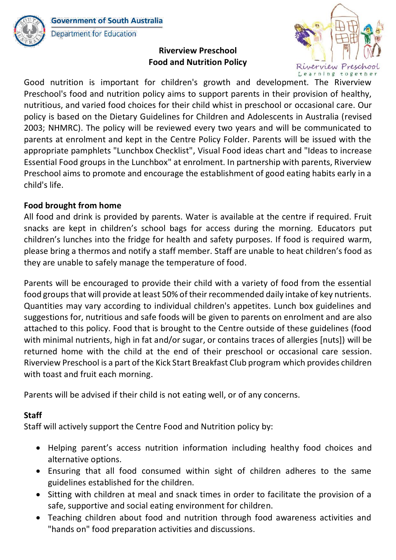

## **Riverview Preschool Food and Nutrition Policy**



Good nutrition is important for children's growth and development. The Riverview Preschool's food and nutrition policy aims to support parents in their provision of healthy, nutritious, and varied food choices for their child whist in preschool or occasional care. Our policy is based on the Dietary Guidelines for Children and Adolescents in Australia (revised 2003; NHMRC). The policy will be reviewed every two years and will be communicated to parents at enrolment and kept in the Centre Policy Folder. Parents will be issued with the appropriate pamphlets "Lunchbox Checklist", Visual Food ideas chart and "Ideas to increase Essential Food groups in the Lunchbox" at enrolment. In partnership with parents, Riverview Preschool aims to promote and encourage the establishment of good eating habits early in a child's life.

# **Food brought from home**

All food and drink is provided by parents. Water is available at the centre if required. Fruit snacks are kept in children's school bags for access during the morning. Educators put children's lunches into the fridge for health and safety purposes. If food is required warm, please bring a thermos and notify a staff member. Staff are unable to heat children's food as they are unable to safely manage the temperature of food.

Parents will be encouraged to provide their child with a variety of food from the essential food groups that will provide at least 50% of their recommended daily intake of key nutrients. Quantities may vary according to individual children's appetites. Lunch box guidelines and suggestions for, nutritious and safe foods will be given to parents on enrolment and are also attached to this policy. Food that is brought to the Centre outside of these guidelines (food with minimal nutrients, high in fat and/or sugar, or contains traces of allergies [nuts]) will be returned home with the child at the end of their preschool or occasional care session. Riverview Preschool is a part of the Kick Start Breakfast Club program which provides children with toast and fruit each morning.

Parents will be advised if their child is not eating well, or of any concerns.

# **Staff**

Staff will actively support the Centre Food and Nutrition policy by:

- Helping parent's access nutrition information including healthy food choices and alternative options.
- Ensuring that all food consumed within sight of children adheres to the same guidelines established for the children.
- Sitting with children at meal and snack times in order to facilitate the provision of a safe, supportive and social eating environment for children.
- Teaching children about food and nutrition through food awareness activities and "hands on" food preparation activities and discussions.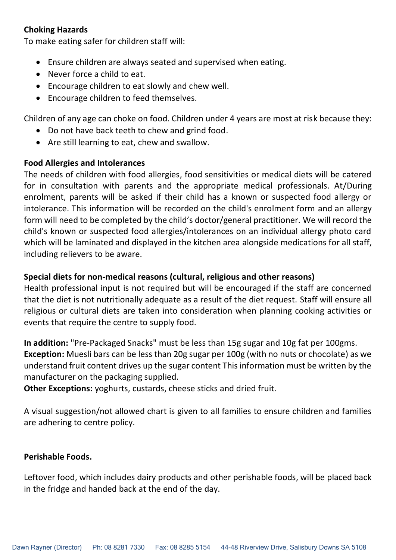#### **Choking Hazards**

To make eating safer for children staff will:

- Ensure children are always seated and supervised when eating.
- Never force a child to eat.
- Encourage children to eat slowly and chew well.
- **•** Encourage children to feed themselves.

Children of any age can choke on food. Children under 4 years are most at risk because they:

- Do not have back teeth to chew and grind food.
- Are still learning to eat, chew and swallow.

## **Food Allergies and Intolerances**

The needs of children with food allergies, food sensitivities or medical diets will be catered for in consultation with parents and the appropriate medical professionals. At/During enrolment, parents will be asked if their child has a known or suspected food allergy or intolerance. This information will be recorded on the child's enrolment form and an allergy form will need to be completed by the child's doctor/general practitioner. We will record the child's known or suspected food allergies/intolerances on an individual allergy photo card which will be laminated and displayed in the kitchen area alongside medications for all staff, including relievers to be aware.

# **Special diets for non-medical reasons (cultural, religious and other reasons)**

Health professional input is not required but will be encouraged if the staff are concerned that the diet is not nutritionally adequate as a result of the diet request. Staff will ensure all religious or cultural diets are taken into consideration when planning cooking activities or events that require the centre to supply food.

**In addition:** "Pre-Packaged Snacks" must be less than 15g sugar and 10g fat per 100gms. **Exception:** Muesli bars can be less than 20g sugar per 100g (with no nuts or chocolate) as we understand fruit content drives up the sugar content This information must be written by the manufacturer on the packaging supplied.

**Other Exceptions:** yoghurts, custards, cheese sticks and dried fruit.

A visual suggestion/not allowed chart is given to all families to ensure children and families are adhering to centre policy.

## **Perishable Foods.**

Leftover food, which includes dairy products and other perishable foods, will be placed back in the fridge and handed back at the end of the day.